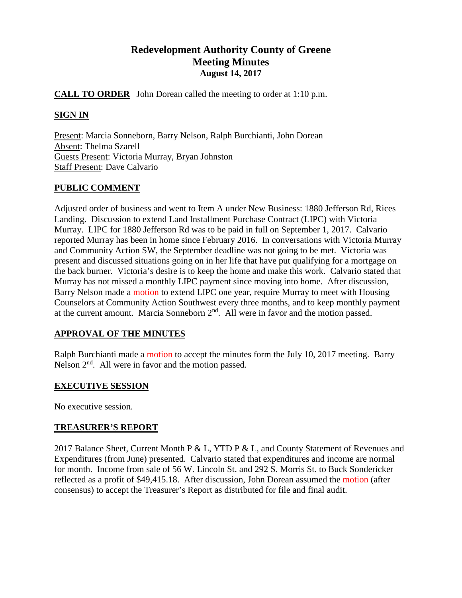# **Redevelopment Authority County of Greene Meeting Minutes August 14, 2017**

### **CALL TO ORDER** John Dorean called the meeting to order at 1:10 p.m.

# **SIGN IN**

Present: Marcia Sonneborn, Barry Nelson, Ralph Burchianti, John Dorean Absent: Thelma Szarell Guests Present: Victoria Murray, Bryan Johnston Staff Present: Dave Calvario

# **PUBLIC COMMENT**

Adjusted order of business and went to Item A under New Business: 1880 Jefferson Rd, Rices Landing. Discussion to extend Land Installment Purchase Contract (LIPC) with Victoria Murray. LIPC for 1880 Jefferson Rd was to be paid in full on September 1, 2017. Calvario reported Murray has been in home since February 2016. In conversations with Victoria Murray and Community Action SW, the September deadline was not going to be met. Victoria was present and discussed situations going on in her life that have put qualifying for a mortgage on the back burner. Victoria's desire is to keep the home and make this work. Calvario stated that Murray has not missed a monthly LIPC payment since moving into home. After discussion, Barry Nelson made a motion to extend LIPC one year, require Murray to meet with Housing Counselors at Community Action Southwest every three months, and to keep monthly payment at the current amount. Marcia Sonneborn  $2<sup>nd</sup>$ . All were in favor and the motion passed.

# **APPROVAL OF THE MINUTES**

Ralph Burchianti made a motion to accept the minutes form the July 10, 2017 meeting. Barry Nelson  $2<sup>nd</sup>$ . All were in favor and the motion passed.

# **EXECUTIVE SESSION**

No executive session.

# **TREASURER'S REPORT**

2017 Balance Sheet, Current Month P & L, YTD P & L, and County Statement of Revenues and Expenditures (from June) presented. Calvario stated that expenditures and income are normal for month. Income from sale of 56 W. Lincoln St. and 292 S. Morris St. to Buck Sondericker reflected as a profit of \$49,415.18. After discussion, John Dorean assumed the motion (after consensus) to accept the Treasurer's Report as distributed for file and final audit.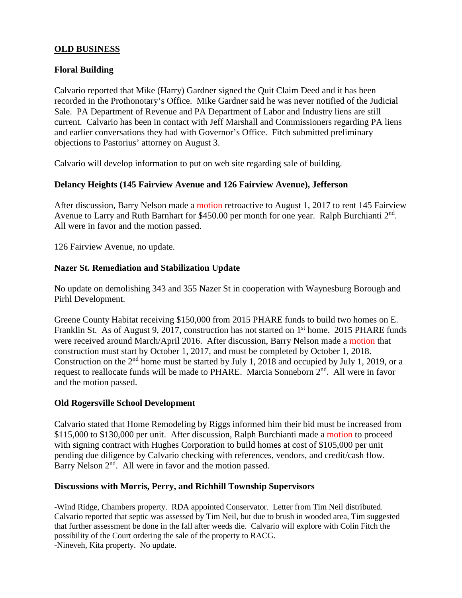### **OLD BUSINESS**

# **Floral Building**

Calvario reported that Mike (Harry) Gardner signed the Quit Claim Deed and it has been recorded in the Prothonotary's Office. Mike Gardner said he was never notified of the Judicial Sale. PA Department of Revenue and PA Department of Labor and Industry liens are still current. Calvario has been in contact with Jeff Marshall and Commissioners regarding PA liens and earlier conversations they had with Governor's Office. Fitch submitted preliminary objections to Pastorius' attorney on August 3.

Calvario will develop information to put on web site regarding sale of building.

### **Delancy Heights (145 Fairview Avenue and 126 Fairview Avenue), Jefferson**

After discussion, Barry Nelson made a motion retroactive to August 1, 2017 to rent 145 Fairview Avenue to Larry and Ruth Barnhart for \$450.00 per month for one year. Ralph Burchianti 2<sup>nd</sup>. All were in favor and the motion passed.

126 Fairview Avenue, no update.

### **Nazer St. Remediation and Stabilization Update**

No update on demolishing 343 and 355 Nazer St in cooperation with Waynesburg Borough and Pirhl Development.

Greene County Habitat receiving \$150,000 from 2015 PHARE funds to build two homes on E. Franklin St. As of August 9, 2017, construction has not started on 1<sup>st</sup> home. 2015 PHARE funds were received around March/April 2016. After discussion, Barry Nelson made a motion that construction must start by October 1, 2017, and must be completed by October 1, 2018. Construction on the 2<sup>nd</sup> home must be started by July 1, 2018 and occupied by July 1, 2019, or a request to reallocate funds will be made to PHARE. Marcia Sonneborn 2<sup>nd</sup>. All were in favor and the motion passed.

### **Old Rogersville School Development**

Calvario stated that Home Remodeling by Riggs informed him their bid must be increased from \$115,000 to \$130,000 per unit. After discussion, Ralph Burchianti made a motion to proceed with signing contract with Hughes Corporation to build homes at cost of \$105,000 per unit pending due diligence by Calvario checking with references, vendors, and credit/cash flow. Barry Nelson 2<sup>nd</sup>. All were in favor and the motion passed.

### **Discussions with Morris, Perry, and Richhill Township Supervisors**

-Wind Ridge, Chambers property. RDA appointed Conservator. Letter from Tim Neil distributed. Calvario reported that septic was assessed by Tim Neil, but due to brush in wooded area, Tim suggested that further assessment be done in the fall after weeds die. Calvario will explore with Colin Fitch the possibility of the Court ordering the sale of the property to RACG. -Nineveh, Kita property. No update.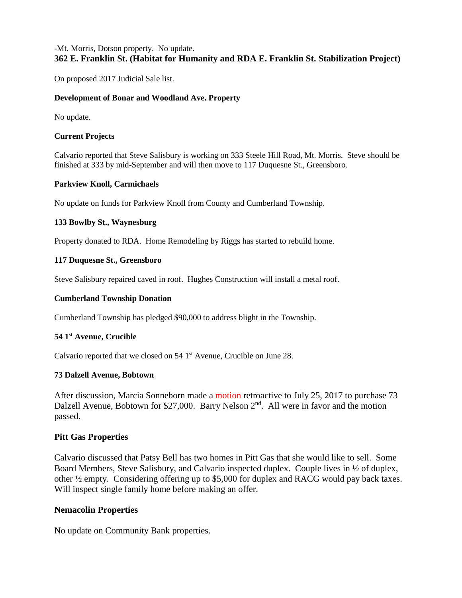### -Mt. Morris, Dotson property. No update. **362 E. Franklin St. (Habitat for Humanity and RDA E. Franklin St. Stabilization Project)**

On proposed 2017 Judicial Sale list.

### **Development of Bonar and Woodland Ave. Property**

No update.

#### **Current Projects**

Calvario reported that Steve Salisbury is working on 333 Steele Hill Road, Mt. Morris. Steve should be finished at 333 by mid-September and will then move to 117 Duquesne St., Greensboro.

#### **Parkview Knoll, Carmichaels**

No update on funds for Parkview Knoll from County and Cumberland Township.

#### **133 Bowlby St., Waynesburg**

Property donated to RDA. Home Remodeling by Riggs has started to rebuild home.

#### **117 Duquesne St., Greensboro**

Steve Salisbury repaired caved in roof. Hughes Construction will install a metal roof.

#### **Cumberland Township Donation**

Cumberland Township has pledged \$90,000 to address blight in the Township.

#### **54 1st Avenue, Crucible**

Calvario reported that we closed on 54 1<sup>st</sup> Avenue, Crucible on June 28.

#### **73 Dalzell Avenue, Bobtown**

After discussion, Marcia Sonneborn made a motion retroactive to July 25, 2017 to purchase 73 Dalzell Avenue, Bobtown for \$27,000. Barry Nelson  $2<sup>nd</sup>$ . All were in favor and the motion passed.

### **Pitt Gas Properties**

Calvario discussed that Patsy Bell has two homes in Pitt Gas that she would like to sell. Some Board Members, Steve Salisbury, and Calvario inspected duplex. Couple lives in ½ of duplex, other ½ empty. Considering offering up to \$5,000 for duplex and RACG would pay back taxes. Will inspect single family home before making an offer.

### **Nemacolin Properties**

No update on Community Bank properties.